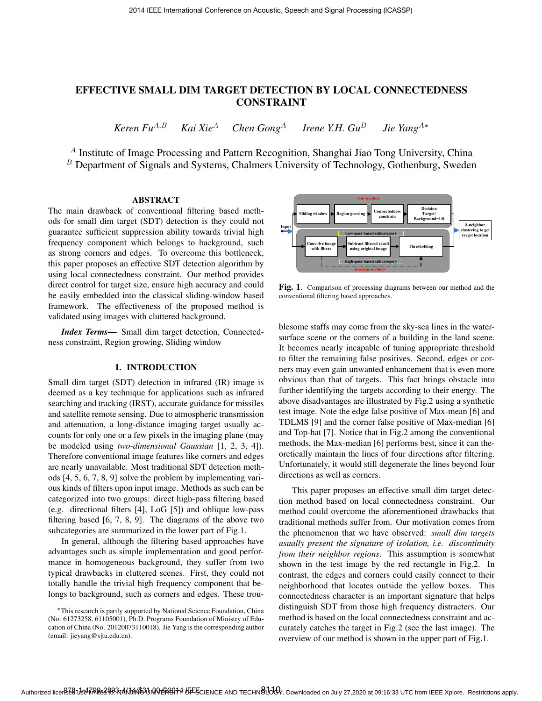# EFFECTIVE SMALL DIM TARGET DETECTION BY LOCAL CONNECTEDNESS CONSTRAINT

 $Keren\ Fu^{A,B}$  *Kai Xie*<sup>A</sup> *Chen Gong*<sup>A</sup> *Irene Y.H. Gu*<sup>B</sup> *Jie Yang*<sup>A\*</sup>

 $^{\text{A}}$  Institute of Image Processing and Pattern Recognition, Shanghai Jiao Tong University, China  $B$  Department of Signals and Systems, Chalmers University of Technology, Gothenburg, Sweden

# ABSTRACT

The main drawback of conventional filtering based methods for small dim target (SDT) detection is they could not guarantee sufficient suppression ability towards trivial high frequency component which belongs to background, such as strong corners and edges. To overcome this bottleneck, this paper proposes an effective SDT detection algorithm by using local connectedness constraint. Our method provides direct control for target size, ensure high accuracy and could be easily embedded into the classical sliding-window based framework. The effectiveness of the proposed method is validated using images with cluttered background.

*Index Terms*— Small dim target detection, Connectedness constraint, Region growing, Sliding window

# 1. INTRODUCTION

Small dim target (SDT) detection in infrared (IR) image is deemed as a key technique for applications such as infrared searching and tracking (IRST), accurate guidance for missiles and satellite remote sensing. Due to atmospheric transmission and attenuation, a long-distance imaging target usually accounts for only one or a few pixels in the imaging plane (may be modeled using *two-dimensional Gaussian* [1, 2, 3, 4]). Therefore conventional image features like corners and edges are nearly unavailable. Most traditional SDT detection methods [4, 5, 6, 7, 8, 9] solve the problem by implementing various kinds of filters upon input image. Methods as such can be categorized into two groups: direct high-pass filtering based (e.g. directional filters [4], LoG [5]) and oblique low-pass filtering based [6, 7, 8, 9]. The diagrams of the above two subcategories are summarized in the lower part of Fig.1.

In general, although the filtering based approaches have advantages such as simple implementation and good performance in homogeneous background, they suffer from two typical drawbacks in cluttered scenes. First, they could not totally handle the trivial high frequency component that belongs to background, such as corners and edges. These trou-



Fig. 1. Comparison of processing diagrams between our method and the conventional filtering based approaches.

blesome staffs may come from the sky-sea lines in the watersurface scene or the corners of a building in the land scene. It becomes nearly incapable of tuning appropriate threshold to filter the remaining false positives. Second, edges or corners may even gain unwanted enhancement that is even more obvious than that of targets. This fact brings obstacle into further identifying the targets according to their energy. The above disadvantages are illustrated by Fig.2 using a synthetic test image. Note the edge false positive of Max-mean [6] and TDLMS [9] and the corner false positive of Max-median [6] and Top-hat [7]. Notice that in Fig.2 among the conventional methods, the Max-median [6] performs best, since it can theoretically maintain the lines of four directions after filtering. Unfortunately, it would still degenerate the lines beyond four directions as well as corners.

This paper proposes an effective small dim target detection method based on local connectedness constraint. Our method could overcome the aforementioned drawbacks that traditional methods suffer from. Our motivation comes from the phenomenon that we have observed: *small dim targets usually present the signature of isolation, i.e. discontinuity from their neighbor regions*. This assumption is somewhat shown in the test image by the red rectangle in Fig.2. In contrast, the edges and corners could easily connect to their neighborhood that locates outside the yellow boxes. This connectedness character is an important signature that helps distinguish SDT from those high frequency distracters. Our method is based on the local connectedness constraint and accurately catches the target in Fig.2 (see the last image). The overview of our method is shown in the upper part of Fig.1.

<sup>∗</sup>This research is partly supported by National Science Foundation, China (No: 61273258, 61105001), Ph.D. Programs Foundation of Ministry of Education of China (No. 20120073110018). Jie Yang is the corresponding author (email: jieyang@sjtu.edu.cn).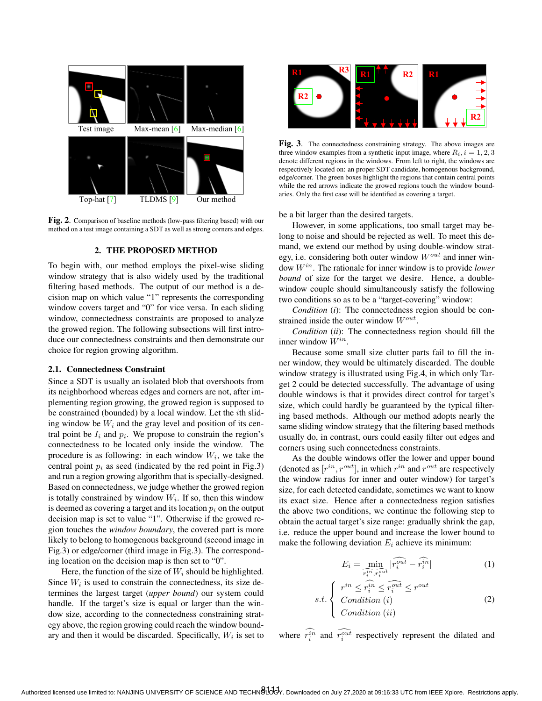

Fig. 2. Comparison of baseline methods (low-pass filtering based) with our method on a test image containing a SDT as well as strong corners and edges.

### 2. THE PROPOSED METHOD

To begin with, our method employs the pixel-wise sliding window strategy that is also widely used by the traditional filtering based methods. The output of our method is a decision map on which value "1" represents the corresponding window covers target and "0" for vice versa. In each sliding window, connectedness constraints are proposed to analyze the growed region. The following subsections will first introduce our connectedness constraints and then demonstrate our choice for region growing algorithm.

### 2.1. Connectedness Constraint

Since a SDT is usually an isolated blob that overshoots from its neighborhood whereas edges and corners are not, after implementing region growing, the growed region is supposed to be constrained (bounded) by a local window. Let the ith sliding window be  $W_i$  and the gray level and position of its central point be  $I_i$  and  $p_i$ . We propose to constrain the region's connectedness to be located only inside the window. The procedure is as following: in each window  $W_i$ , we take the central point  $p_i$  as seed (indicated by the red point in Fig.3) and run a region growing algorithm that is specially-designed. Based on connectedness, we judge whether the growed region is totally constrained by window  $W_i$ . If so, then this window is deemed as covering a target and its location  $p_i$  on the output decision map is set to value "1". Otherwise if the growed region touches the *window boundary*, the covered part is more likely to belong to homogenous background (second image in Fig.3) or edge/corner (third image in Fig.3). The corresponding location on the decision map is then set to "0".

Here, the function of the size of  $W_i$  should be highlighted. Since  $W_i$  is used to constrain the connectedness, its size determines the largest target (*upper bound*) our system could handle. If the target's size is equal or larger than the window size, according to the connectedness constraining strategy above, the region growing could reach the window boundary and then it would be discarded. Specifically,  $W_i$  is set to



Fig. 3. The connectedness constraining strategy. The above images are three window examples from a synthetic input image, where  $R_i$ ,  $i = 1, 2, 3$ denote different regions in the windows. From left to right, the windows are respectively located on: an proper SDT candidate, homogenous background, edge/corner. The green boxes highlight the regions that contain central points while the red arrows indicate the growed regions touch the window boundaries. Only the first case will be identified as covering a target.

be a bit larger than the desired targets.

However, in some applications, too small target may belong to noise and should be rejected as well. To meet this demand, we extend our method by using double-window strategy, i.e. considering both outer window  $W^{out}$  and inner window Win. The rationale for inner window is to provide *lower bound* of size for the target we desire. Hence, a doublewindow couple should simultaneously satisfy the following two conditions so as to be a "target-covering" window:

*Condition* (*i*): The connectedness region should be constrained inside the outer window  $W^{out}$ .

*Condition* (*ii*): The connectedness region should fill the inner window  $W^{in}$ .

Because some small size clutter parts fail to fill the inner window, they would be ultimately discarded. The double window strategy is illustrated using Fig.4, in which only Target 2 could be detected successfully. The advantage of using double windows is that it provides direct control for target's size, which could hardly be guaranteed by the typical filtering based methods. Although our method adopts nearly the same sliding window strategy that the filtering based methods usually do, in contrast, ours could easily filter out edges and corners using such connectedness constraints.

As the double windows offer the lower and upper bound (denoted as  $[r^{in}, r^{out}]$ , in which  $r^{in}$  and  $r^{out}$  are respectively the window radius for inner and outer window) for target's size, for each detected candidate, sometimes we want to know its exact size. Hence after a connectedness region satisfies the above two conditions, we continue the following step to obtain the actual target's size range: gradually shrink the gap, i.e. reduce the upper bound and increase the lower bound to make the following deviation  $E_i$  achieve its minimum:

$$
E_i = \min_{\widehat{r_i^{in}}, \widehat{r_i^{out}}} |\widehat{r_i^{out}} - \widehat{r_i^{in}}|
$$
 (1)

$$
s.t. \begin{cases} r^{in} \leq \widehat{r_i^{in}} \leq \widehat{r_i^{out}} \leq r^{out} \\ Condition (i) \\ Condition (ii) \end{cases} \tag{2}
$$

where  $\hat{r}_i^{in}$  and  $\hat{r}_i^{out}$  respectively represent the dilated and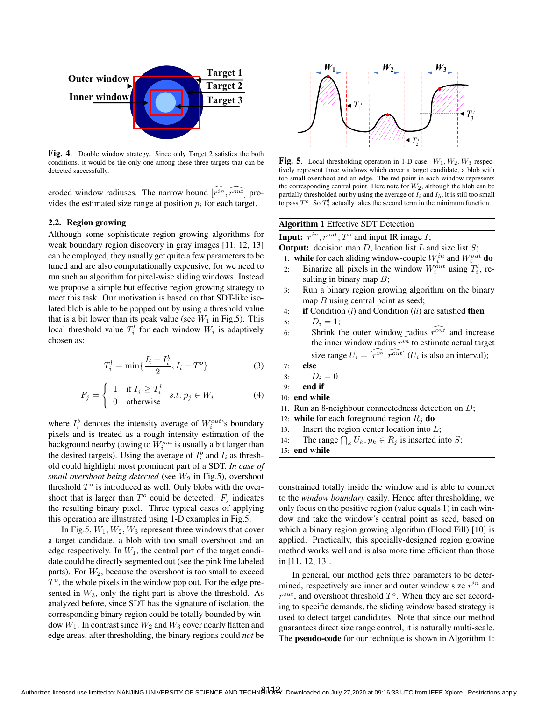

Fig. 4. Double window strategy. Since only Target 2 satisfies the both conditions, it would be the only one among these three targets that can be detected successfully.

eroded window radiuses. The narrow bound  $[\hat{r}^{in}, \hat{r}^{out}]$  provides the estimated size range at position  $p_i$  for each target.

#### 2.2. Region growing

Although some sophisticate region growing algorithms for weak boundary region discovery in gray images [11, 12, 13] can be employed, they usually get quite a few parameters to be tuned and are also computationally expensive, for we need to run such an algorithm for pixel-wise sliding windows. Instead we propose a simple but effective region growing strategy to meet this task. Our motivation is based on that SDT-like isolated blob is able to be popped out by using a threshold value that is a bit lower than its peak value (see  $W_1$  in Fig.5). This local threshold value  $T_i^l$  for each window  $W_i$  is adaptively chosen as:

$$
T_i^l = \min\{\frac{I_i + I_i^b}{2}, I_i - T^o\}
$$
 (3)

$$
F_j = \begin{cases} 1 & \text{if } I_j \ge T_i^l \\ 0 & \text{otherwise} \end{cases} \quad s.t. \ p_j \in W_i \tag{4}
$$

where  $I_i^b$  denotes the intensity average of  $W_i^{out}$ 's boundary pixels and is treated as a rough intensity estimation of the background nearby (owing to  $W_i^{out}$  is usually a bit larger than the desired targets). Using the average of  $I_i^b$  and  $I_i$  as threshold could highlight most prominent part of a SDT. *In case of small overshoot being detected* (see  $W_2$  in Fig.5), overshoot threshold  $T<sup>o</sup>$  is introduced as well. Only blobs with the overshoot that is larger than  $T^{\circ}$  could be detected.  $F_j$  indicates the resulting binary pixel. Three typical cases of applying this operation are illustrated using 1-D examples in Fig.5.

In Fig.5,  $W_1, W_2, W_3$  represent three windows that cover a target candidate, a blob with too small overshoot and an edge respectively. In  $W_1$ , the central part of the target candidate could be directly segmented out (see the pink line labeled parts). For  $W_2$ , because the overshoot is too small to exceed  $T<sup>o</sup>$ , the whole pixels in the window pop out. For the edge presented in  $W_3$ , only the right part is above the threshold. As analyzed before, since SDT has the signature of isolation, the corresponding binary region could be totally bounded by window  $W_1$ . In contrast since  $W_2$  and  $W_3$  cover nearly flatten and edge areas, after thresholding, the binary regions could *not* be



Fig. 5. Local thresholding operation in 1-D case.  $W_1, W_2, W_3$  respectively represent three windows which cover a target candidate, a blob with too small overshoot and an edge. The red point in each window represents the corresponding central point. Here note for  $W_2$ , although the blob can be partially thresholded out by using the average of  $I_i$  and  $I_b$ , it is still too small to pass  $T^o$ . So  $T_2^l$  actually takes the second term in the minimum function.

# Algorithm 1 Effective SDT Detection

**Input:**  $r^{in}$ ,  $r^{out}$ ,  $T^o$  and input IR image I;

**Output:** decision map  $D$ , location list  $L$  and size list  $S$ ;

- 1: while for each sliding window-couple  $W_i^{in}$  and  $W_i^{out}$  do
- 2: Binarize all pixels in the window  $W_i^{out}$  using  $T_i^l$ , resulting in binary map  $B$ ;
- 3: Run a binary region growing algorithm on the binary map  $B$  using central point as seed;
- 4: if Condition (*i*) and Condition (*ii*) are satisfied then
- 5:  $D_i = 1;$
- 6: Shrink the outer window radius  $\widehat{r^{out}}$  and increase the inner window radius  $\tilde{r}^{in}$  to estimate actual target size range  $U_i = [\hat{r}^{in}, \hat{r}^{out}]$  ( $U_i$  is also an interval);
- 7: else
- 8:  $D_i = 0$
- 9: end if
- 10: end while
- 11: Run an 8-neighbour connectedness detection on D;
- 12: while for each foreground region  $R_j$  do

```
13: Insert the region center location into L;
```
14: The range  $\bigcap_k U_k, p_k \in R_j$  is inserted into S;

15: end while

constrained totally inside the window and is able to connect to the *window boundary* easily. Hence after thresholding, we only focus on the positive region (value equals 1) in each window and take the window's central point as seed, based on which a binary region growing algorithm (Flood Fill) [10] is applied. Practically, this specially-designed region growing method works well and is also more time efficient than those in [11, 12, 13].

In general, our method gets three parameters to be determined, respectively are inner and outer window size  $r^{in}$  and  $r^{out}$ , and overshoot threshold  $T^o$ . When they are set according to specific demands, the sliding window based strategy is used to detect target candidates. Note that since our method guarantees direct size range control, it is naturally multi-scale. The pseudo-code for our technique is shown in Algorithm 1: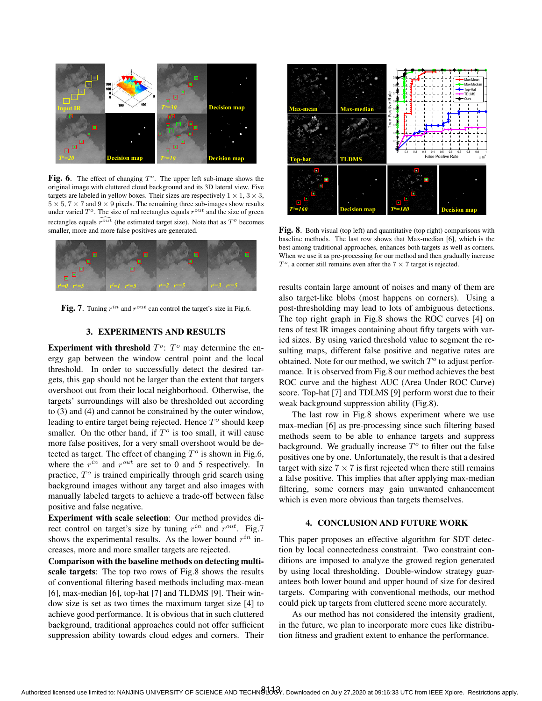

Fig. 6. The effect of changing  $T<sup>o</sup>$ . The upper left sub-image shows the original image with cluttered cloud background and its 3D lateral view. Five targets are labeled in yellow boxes. Their sizes are respectively  $1 \times 1$ ,  $3 \times 3$ ,  $5 \times 5$ ,  $7 \times 7$  and  $9 \times 9$  pixels. The remaining three sub-images show results under varied  $T^o$ . The size of red rectangles equals  $r^{out}$  and the size of green rectangles equals  $r^{out}$  (the estimated target size). Note that as  $T^o$  becomes smaller, more and more false positives are generated.



Fig. 7. Tuning  $r^{in}$  and  $r^{out}$  can control the target's size in Fig.6.

# 3. EXPERIMENTS AND RESULTS

**Experiment with threshold**  $T^o$ :  $T^o$  may determine the energy gap between the window central point and the local threshold. In order to successfully detect the desired targets, this gap should not be larger than the extent that targets overshoot out from their local neighborhood. Otherwise, the targets' surroundings will also be thresholded out according to (3) and (4) and cannot be constrained by the outer window, leading to entire target being rejected. Hence  $T<sup>o</sup>$  should keep smaller. On the other hand, if  $T<sup>o</sup>$  is too small, it will cause more false positives, for a very small overshoot would be detected as target. The effect of changing  $T<sup>o</sup>$  is shown in Fig.6, where the  $r^{in}$  and  $r^{out}$  are set to 0 and 5 respectively. In practice,  $T<sup>o</sup>$  is trained empirically through grid search using background images without any target and also images with manually labeled targets to achieve a trade-off between false positive and false negative.

Experiment with scale selection: Our method provides direct control on target's size by tuning  $r^{in}$  and  $r^{out}$ . Fig.7 shows the experimental results. As the lower bound  $r^{in}$  increases, more and more smaller targets are rejected.

Comparison with the baseline methods on detecting multiscale targets: The top two rows of Fig.8 shows the results of conventional filtering based methods including max-mean [6], max-median [6], top-hat [7] and TLDMS [9]. Their window size is set as two times the maximum target size [4] to achieve good performance. It is obvious that in such cluttered background, traditional approaches could not offer sufficient suppression ability towards cloud edges and corners. Their



Fig. 8. Both visual (top left) and quantitative (top right) comparisons with baseline methods. The last row shows that Max-median [6], which is the best among traditional approaches, enhances both targets as well as corners. When we use it as pre-processing for our method and then gradually increase  $T<sup>o</sup>$ , a corner still remains even after the  $7 \times 7$  target is rejected.

results contain large amount of noises and many of them are also target-like blobs (most happens on corners). Using a post-thresholding may lead to lots of ambiguous detections. The top right graph in Fig.8 shows the ROC curves [4] on tens of test IR images containing about fifty targets with varied sizes. By using varied threshold value to segment the resulting maps, different false positive and negative rates are obtained. Note for our method, we switch  $T<sup>o</sup>$  to adjust performance. It is observed from Fig.8 our method achieves the best ROC curve and the highest AUC (Area Under ROC Curve) score. Top-hat [7] and TDLMS [9] perform worst due to their weak background suppression ability (Fig.8).

The last row in Fig.8 shows experiment where we use max-median [6] as pre-processing since such filtering based methods seem to be able to enhance targets and suppress background. We gradually increase  $T<sup>o</sup>$  to filter out the false positives one by one. Unfortunately, the result is that a desired target with size  $7 \times 7$  is first rejected when there still remains a false positive. This implies that after applying max-median filtering, some corners may gain unwanted enhancement which is even more obvious than targets themselves.

#### 4. CONCLUSION AND FUTURE WORK

This paper proposes an effective algorithm for SDT detection by local connectedness constraint. Two constraint conditions are imposed to analyze the growed region generated by using local thresholding. Double-window strategy guarantees both lower bound and upper bound of size for desired targets. Comparing with conventional methods, our method could pick up targets from cluttered scene more accurately.

As our method has not considered the intensity gradient, in the future, we plan to incorporate more cues like distribution fitness and gradient extent to enhance the performance.